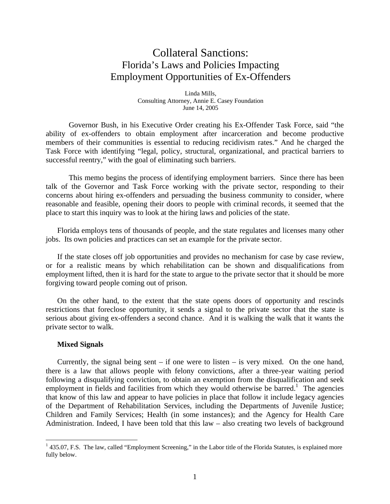# Collateral Sanctions: Florida's Laws and Policies Impacting Employment Opportunities of Ex-Offenders

Linda Mills, Consulting Attorney, Annie E. Casey Foundation June 14, 2005

Governor Bush, in his Executive Order creating his Ex-Offender Task Force, said "the ability of ex-offenders to obtain employment after incarceration and become productive members of their communities is essential to reducing recidivism rates." And he charged the Task Force with identifying "legal, policy, structural, organizational, and practical barriers to successful reentry," with the goal of eliminating such barriers.

This memo begins the process of identifying employment barriers. Since there has been talk of the Governor and Task Force working with the private sector, responding to their concerns about hiring ex-offenders and persuading the business community to consider, where reasonable and feasible, opening their doors to people with criminal records, it seemed that the place to start this inquiry was to look at the hiring laws and policies of the state.

Florida employs tens of thousands of people, and the state regulates and licenses many other jobs. Its own policies and practices can set an example for the private sector.

If the state closes off job opportunities and provides no mechanism for case by case review, or for a realistic means by which rehabilitation can be shown and disqualifications from employment lifted, then it is hard for the state to argue to the private sector that it should be more forgiving toward people coming out of prison.

On the other hand, to the extent that the state opens doors of opportunity and rescinds restrictions that foreclose opportunity, it sends a signal to the private sector that the state is serious about giving ex-offenders a second chance. And it is walking the walk that it wants the private sector to walk.

## **Mixed Signals**

 $\overline{a}$ 

Currently, the signal being sent – if one were to listen – is very mixed. On the one hand, there is a law that allows people with felony convictions, after a three-year waiting period following a disqualifying conviction, to obtain an exemption from the disqualification and seek employment in fields and facilities from which they would otherwise be barred.<sup>1</sup> The agencies that know of this law and appear to have policies in place that follow it include legacy agencies of the Department of Rehabilitation Services, including the Departments of Juvenile Justice; Children and Family Services; Health (in some instances); and the Agency for Health Care Administration. Indeed, I have been told that this law – also creating two levels of background

<sup>&</sup>lt;sup>1</sup> 435.07, F.S. The law, called "Employment Screening," in the Labor title of the Florida Statutes, is explained more fully below.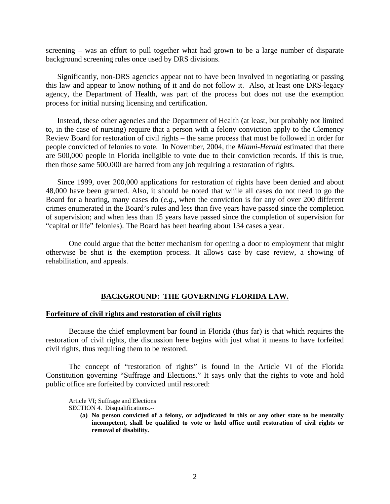screening – was an effort to pull together what had grown to be a large number of disparate background screening rules once used by DRS divisions.

Significantly, non-DRS agencies appear not to have been involved in negotiating or passing this law and appear to know nothing of it and do not follow it. Also, at least one DRS-legacy agency, the Department of Health, was part of the process but does not use the exemption process for initial nursing licensing and certification.

Instead, these other agencies and the Department of Health (at least, but probably not limited to, in the case of nursing) require that a person with a felony conviction apply to the Clemency Review Board for restoration of civil rights – the same process that must be followed in order for people convicted of felonies to vote. In November, 2004, the *Miami-Herald* estimated that there are 500,000 people in Florida ineligible to vote due to their conviction records. If this is true, then those same 500,000 are barred from any job requiring a restoration of rights.

Since 1999, over 200,000 applications for restoration of rights have been denied and about 48,000 have been granted. Also, it should be noted that while all cases do not need to go the Board for a hearing, many cases do (*e.g.,* when the conviction is for any of over 200 different crimes enumerated in the Board's rules and less than five years have passed since the completion of supervision; and when less than 15 years have passed since the completion of supervision for "capital or life" felonies). The Board has been hearing about 134 cases a year.

One could argue that the better mechanism for opening a door to employment that might otherwise be shut is the exemption process. It allows case by case review, a showing of rehabilitation, and appeals.

# **BACKGROUND: THE GOVERNING FLORIDA LAW.**

# **Forfeiture of civil rights and restoration of civil rights**

Because the chief employment bar found in Florida (thus far) is that which requires the restoration of civil rights, the discussion here begins with just what it means to have forfeited civil rights, thus requiring them to be restored.

The concept of "restoration of rights" is found in the Article VI of the Florida Constitution governing "Suffrage and Elections." It says only that the rights to vote and hold public office are forfeited by convicted until restored:

Article VI; Suffrage and Elections

SECTION 4. Disqualifications.--

**(a) No person convicted of a felony, or adjudicated in this or any other state to be mentally incompetent, shall be qualified to vote or hold office until restoration of civil rights or removal of disability.**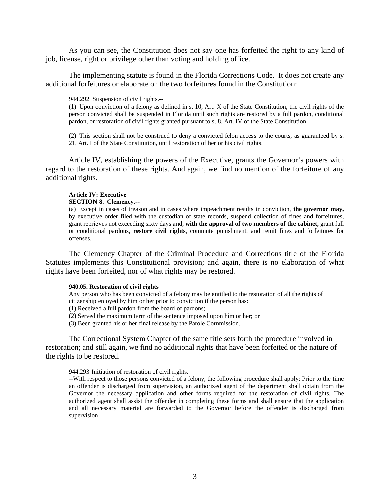As you can see, the Constitution does not say one has forfeited the right to any kind of job, license, right or privilege other than voting and holding office.

The implementing statute is found in the Florida Corrections Code. It does not create any additional forfeitures or elaborate on the two forfeitures found in the Constitution:

944.292 Suspension of civil rights.--

(1) Upon conviction of a felony as defined in s. 10, Art. X of the State Constitution, the civil rights of the person convicted shall be suspended in Florida until such rights are restored by a full pardon, conditional pardon, or restoration of civil rights granted pursuant to s. 8, Art. IV of the State Constitution.

(2) This section shall not be construed to deny a convicted felon access to the courts, as guaranteed by s. 21, Art. I of the State Constitution, until restoration of her or his civil rights.

Article IV, establishing the powers of the Executive, grants the Governor's powers with regard to the restoration of these rights. And again, we find no mention of the forfeiture of any additional rights.

#### **Article IV: Executive**

#### **SECTION 8. Clemency.--**

(a) Except in cases of treason and in cases where impeachment results in conviction, **the governor may,** by executive order filed with the custodian of state records, suspend collection of fines and forfeitures, grant reprieves not exceeding sixty days and, **with the approval of two members of the cabinet,** grant full or conditional pardons, **restore civil rights**, commute punishment, and remit fines and forfeitures for offenses.

The Clemency Chapter of the Criminal Procedure and Corrections title of the Florida Statutes implements this Constitutional provision; and again, there is no elaboration of what rights have been forfeited, nor of what rights may be restored.

#### **940.05. Restoration of civil rights**

Any person who has been convicted of a felony may be entitled to the restoration of all the rights of citizenship enjoyed by him or her prior to conviction if the person has:

(1) Received a full pardon from the board of pardons;

(2) Served the maximum term of the sentence imposed upon him or her; or

(3) Been granted his or her final release by the Parole Commission.

The Correctional System Chapter of the same title sets forth the procedure involved in restoration; and still again, we find no additional rights that have been forfeited or the nature of the rights to be restored.

944.293 Initiation of restoration of civil rights.

--With respect to those persons convicted of a felony, the following procedure shall apply: Prior to the time an offender is discharged from supervision, an authorized agent of the department shall obtain from the Governor the necessary application and other forms required for the restoration of civil rights. The authorized agent shall assist the offender in completing these forms and shall ensure that the application and all necessary material are forwarded to the Governor before the offender is discharged from supervision.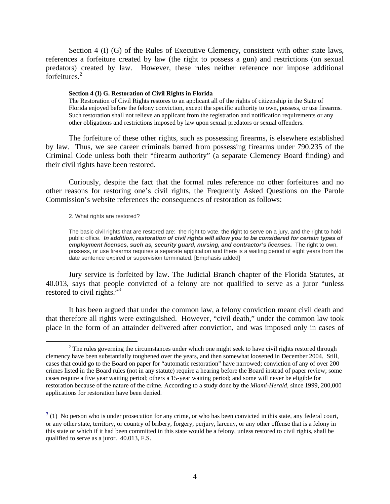Section 4 (I) (G) of the Rules of Executive Clemency, consistent with other state laws, references a forfeiture created by law (the right to possess a gun) and restrictions (on sexual predators) created by law. However, these rules neither reference nor impose additional forfeitures.<sup>2</sup>

#### **Section 4 (I) G. Restoration of Civil Rights in Florida**

The Restoration of Civil Rights restores to an applicant all of the rights of citizenship in the State of Florida enjoyed before the felony conviction, except the specific authority to own, possess, or use firearms. Such restoration shall not relieve an applicant from the registration and notification requirements or any other obligations and restrictions imposed by law upon sexual predators or sexual offenders.

The forfeiture of these other rights, such as possessing firearms, is elsewhere established by law. Thus, we see career criminals barred from possessing firearms under 790.235 of the Criminal Code unless both their "firearm authority" (a separate Clemency Board finding) and their civil rights have been restored.

Curiously, despite the fact that the formal rules reference no other forfeitures and no other reasons for restoring one's civil rights, the Frequently Asked Questions on the Parole Commission's website references the consequences of restoration as follows:

2. What rights are restored?

The basic civil rights that are restored are: the right to vote, the right to serve on a jury, and the right to hold public office. *In addition, restoration of civil rights will allow you to be considered for certain types of employment licenses, such as, security guard, nursing, and contractor's licenses.* The right to own, possess, or use firearms requires a separate application and there is a waiting period of eight years from the date sentence expired or supervision terminated. [Emphasis added]

Jury service is forfeited by law. The Judicial Branch chapter of the Florida Statutes, at 40.013, says that people convicted of a felony are not qualified to serve as a juror "unless restored to civil rights."<sup>3</sup>

It has been argued that under the common law, a felony conviction meant civil death and that therefore all rights were extinguished. However, "civil death," under the common law took place in the form of an attainder delivered after conviction, and was imposed only in cases of

 $\frac{1}{2}$  $2$  The rules governing the circumstances under which one might seek to have civil rights restored through clemency have been substantially toughened over the years, and then somewhat loosened in December 2004. Still, cases that could go to the Board on paper for "automatic restoration" have narrowed; conviction of any of over 200 crimes listed in the Board rules (not in any statute) require a hearing before the Board instead of paper review; some cases require a five year waiting period; others a 15-year waiting period; and some will never be eligible for restoration because of the nature of the crime. According to a study done by the *Miami-Herald,* since 1999, 200,000 applications for restoration have been denied.

 $3$  (1) No person who is under prosecution for any crime, or who has been convicted in this state, any federal court, or any other state, territory, or country of bribery, forgery, perjury, larceny, or any other offense that is a felony in this state or which if it had been committed in this state would be a felony, unless restored to civil rights, shall be qualified to serve as a juror. 40.013, F.S.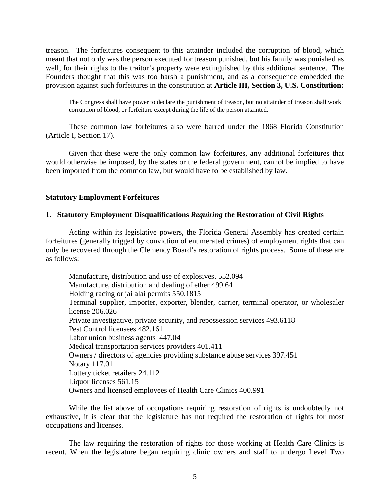treason. The forfeitures consequent to this attainder included the corruption of blood, which meant that not only was the person executed for treason punished, but his family was punished as well, for their rights to the traitor's property were extinguished by this additional sentence. The Founders thought that this was too harsh a punishment, and as a consequence embedded the provision against such forfeitures in the constitution at **Article III, Section 3, U.S. Constitution:** 

The Congress shall have power to declare the punishment of treason, but no attainder of treason shall work corruption of blood, or forfeiture except during the life of the person attainted.

These common law forfeitures also were barred under the 1868 Florida Constitution (Article I, Section 17).

Given that these were the only common law forfeitures, any additional forfeitures that would otherwise be imposed, by the states or the federal government, cannot be implied to have been imported from the common law, but would have to be established by law.

# **Statutory Employment Forfeitures**

# **1. Statutory Employment Disqualifications** *Requiring* **the Restoration of Civil Rights**

Acting within its legislative powers, the Florida General Assembly has created certain forfeitures (generally trigged by conviction of enumerated crimes) of employment rights that can only be recovered through the Clemency Board's restoration of rights process. Some of these are as follows:

Manufacture, distribution and use of explosives. 552.094 Manufacture, distribution and dealing of ether 499.64 Holding racing or jai alai permits 550.1815 Terminal supplier, importer, exporter, blender, carrier, terminal operator, or wholesaler license 206.026 Private investigative, private security, and repossession services 493.6118 Pest Control licensees 482.161 Labor union business agents 447.04 Medical transportation services providers 401.411 Owners / directors of agencies providing substance abuse services 397.451 Notary 117.01 Lottery ticket retailers 24.112 Liquor licenses 561.15 Owners and licensed employees of Health Care Clinics 400.991

While the list above of occupations requiring restoration of rights is undoubtedly not exhaustive, it is clear that the legislature has not required the restoration of rights for most occupations and licenses.

The law requiring the restoration of rights for those working at Health Care Clinics is recent. When the legislature began requiring clinic owners and staff to undergo Level Two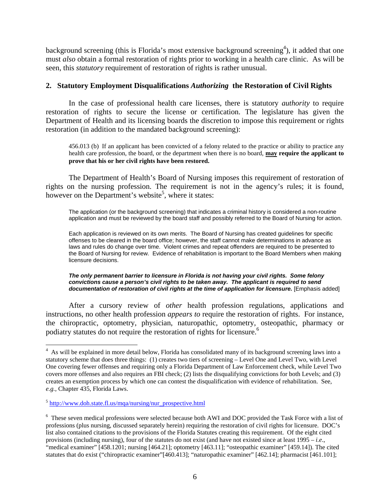background screening (this is Florida's most extensive background screening<sup>4</sup>), it added that one must *also* obtain a formal restoration of rights prior to working in a health care clinic. As will be seen, this *statutory* requirement of restoration of rights is rather unusual.

# **2. Statutory Employment Disqualifications** *Authorizing* **the Restoration of Civil Rights**

In the case of professional health care licenses, there is statutory *authority* to require restoration of rights to secure the license or certification. The legislature has given the Department of Health and its licensing boards the discretion to impose this requirement or rights restoration (in addition to the mandated background screening):

456.013 (b) If an applicant has been convicted of a felony related to the practice or ability to practice any health care profession, the board, or the department when there is no board, **may require the applicant to prove that his or her civil rights have been restored.** 

The Department of Health's Board of Nursing imposes this requirement of restoration of rights on the nursing profession. The requirement is not in the agency's rules; it is found, however on the Department's website<sup>5</sup>, where it states:

The application (or the background screening) that indicates a criminal history is considered a non-routine application and must be reviewed by the board staff and possibly referred to the Board of Nursing for action.

Each application is reviewed on its own merits. The Board of Nursing has created guidelines for specific offenses to be cleared in the board office; however, the staff cannot make determinations in advance as laws and rules do change over time. Violent crimes and repeat offenders are required to be presented to the Board of Nursing for review. Evidence of rehabilitation is important to the Board Members when making licensure decisions.

#### *The only permanent barrier to licensure in Florida is not having your civil rights. Some felony convictions cause a person's civil rights to be taken away. The applicant is required to send documentation of restoration of civil rights at the time of application for licensure.* [Emphasis added]

After a cursory review of *other* health profession regulations, applications and instructions, no other health profession *appears to* require the restoration of rights. For instance, the chiropractic, optometry, physician, naturopathic, optometry, osteopathic, pharmacy or podiatry statutes do not require the restoration of rights for licensure.<sup>6</sup>

 $\overline{a}$ 

<sup>&</sup>lt;sup>4</sup> As will be explained in more detail below, Florida has consolidated many of its background screening laws into a statutory scheme that does three things: (1) creates two tiers of screening – Level One and Level Two, with Level One covering fewer offenses and requiring only a Florida Department of Law Enforcement check, while Level Two covers more offenses and also requires an FBI check; (2) lists the disqualifying convictions for both Levels; and (3) creates an exemption process by which one can contest the disqualification with evidence of rehabilitation. See, *e.g.,* Chapter 435, Florida Laws.

 $5$  http://www.doh.state.fl.us/mqa/nursing/nur\_prospective.html

<sup>&</sup>lt;sup>6</sup> These seven medical professions were selected because both AWI and DOC provided the Task Force with a list of professions (plus nursing, discussed separately herein) requiring the restoration of civil rights for licensure. DOC's list also contained citations to the provisions of the Florida Statutes creating this requirement. Of the eight cited provisions (including nursing), four of the statutes do not exist (and have not existed since at least 1995 – *i.e*., "medical examiner" [458.1201; nursing [464.21]; optometry [463.11]; "osteopathic examiner" [459.14]). The cited statutes that do exist ("chiropractic examiner"[460.413]; "naturopathic examiner" [462.14]; pharmacist [461.101];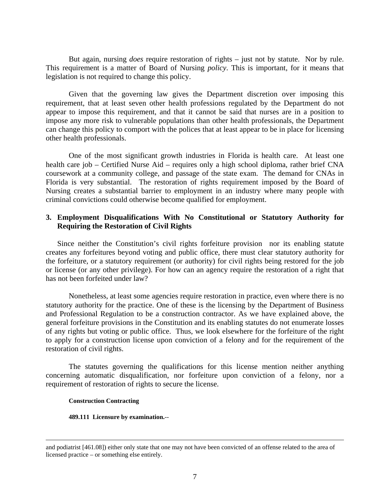But again, nursing *does* require restoration of rights – just not by statute. Nor by rule. This requirement is a matter of Board of Nursing *policy*. This is important, for it means that legislation is not required to change this policy.

Given that the governing law gives the Department discretion over imposing this requirement, that at least seven other health professions regulated by the Department do not appear to impose this requirement, and that it cannot be said that nurses are in a position to impose any more risk to vulnerable populations than other health professionals, the Department can change this policy to comport with the polices that at least appear to be in place for licensing other health professionals.

One of the most significant growth industries in Florida is health care. At least one health care job – Certified Nurse Aid – requires only a high school diploma, rather brief CNA coursework at a community college, and passage of the state exam. The demand for CNAs in Florida is very substantial. The restoration of rights requirement imposed by the Board of Nursing creates a substantial barrier to employment in an industry where many people with criminal convictions could otherwise become qualified for employment.

# **3. Employment Disqualifications With No Constitutional or Statutory Authority for Requiring the Restoration of Civil Rights**

Since neither the Constitution's civil rights forfeiture provision nor its enabling statute creates any forfeitures beyond voting and public office, there must clear statutory authority for the forfeiture, or a statutory requirement (or authority) for civil rights being restored for the job or license (or any other privilege). For how can an agency require the restoration of a right that has not been forfeited under law?

Nonetheless, at least some agencies require restoration in practice, even where there is no statutory authority for the practice. One of these is the licensing by the Department of Business and Professional Regulation to be a construction contractor. As we have explained above, the general forfeiture provisions in the Constitution and its enabling statutes do not enumerate losses of any rights but voting or public office. Thus, we look elsewhere for the forfeiture of the right to apply for a construction license upon conviction of a felony and for the requirement of the restoration of civil rights.

The statutes governing the qualifications for this license mention neither anything concerning automatic disqualification, nor forfeiture upon conviction of a felony, nor a requirement of restoration of rights to secure the license.

## **Construction Contracting**

**489.111 Licensure by examination.**--

and podiatrist [461.08]) either only state that one may not have been convicted of an offense related to the area of licensed practice – or something else entirely.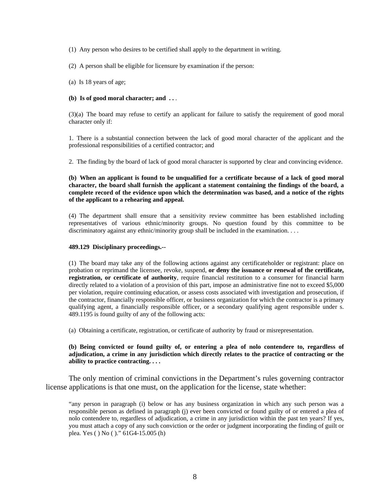(1) Any person who desires to be certified shall apply to the department in writing.

(2) A person shall be eligible for licensure by examination if the person:

(a) Is 18 years of age;

## **(b) Is of good moral character; and . .** .

(3)(a) The board may refuse to certify an applicant for failure to satisfy the requirement of good moral character only if:

1. There is a substantial connection between the lack of good moral character of the applicant and the professional responsibilities of a certified contractor; and

2. The finding by the board of lack of good moral character is supported by clear and convincing evidence.

**(b) When an applicant is found to be unqualified for a certificate because of a lack of good moral character, the board shall furnish the applicant a statement containing the findings of the board, a complete record of the evidence upon which the determination was based, and a notice of the rights of the applicant to a rehearing and appeal.** 

(4) The department shall ensure that a sensitivity review committee has been established including representatives of various ethnic/minority groups. No question found by this committee to be discriminatory against any ethnic/minority group shall be included in the examination. . . .

## **489.129 Disciplinary proceedings.--**

(1) The board may take any of the following actions against any certificateholder or registrant: place on probation or reprimand the licensee, revoke, suspend, **or deny the issuance or renewal of the certificate, registration, or certificate of authority**, require financial restitution to a consumer for financial harm directly related to a violation of a provision of this part, impose an administrative fine not to exceed \$5,000 per violation, require continuing education, or assess costs associated with investigation and prosecution, if the contractor, financially responsible officer, or business organization for which the contractor is a primary qualifying agent, a financially responsible officer, or a secondary qualifying agent responsible under s. 489.1195 is found guilty of any of the following acts:

(a) Obtaining a certificate, registration, or certificate of authority by fraud or misrepresentation.

## **(b) Being convicted or found guilty of, or entering a plea of nolo contendere to, regardless of adjudication, a crime in any jurisdiction which directly relates to the practice of contracting or the ability to practice contracting. . . .**

The only mention of criminal convictions in the Department's rules governing contractor license applications is that one must, on the application for the license, state whether:

"any person in paragraph (i) below or has any business organization in which any such person was a responsible person as defined in paragraph (j) ever been convicted or found guilty of or entered a plea of nolo contendere to, regardless of adjudication, a crime in any jurisdiction within the past ten years? If yes, you must attach a copy of any such conviction or the order or judgment incorporating the finding of guilt or plea. Yes ( ) No ( )." 61G4-15.005 (h)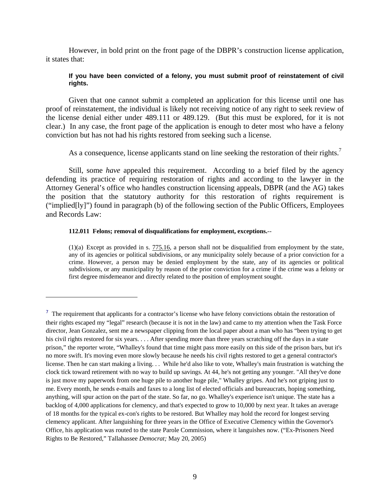However, in bold print on the front page of the DBPR's construction license application, it states that:

# **If you have been convicted of a felony, you must submit proof of reinstatement of civil rights.**

Given that one cannot submit a completed an application for this license until one has proof of reinstatement, the individual is likely not receiving notice of any right to seek review of the license denial either under 489.111 or 489.129. (But this must be explored, for it is not clear.) In any case, the front page of the application is enough to deter most who have a felony conviction but has not had his rights restored from seeking such a license.

As a consequence, license applicants stand on line seeking the restoration of their rights.<sup>7</sup>

Still, some *have* appealed this requirement. According to a brief filed by the agency defending its practice of requiring restoration of rights and according to the lawyer in the Attorney General's office who handles construction licensing appeals, DBPR (and the AG) takes the position that the statutory authority for this restoration of rights requirement is ("implied[ly]") found in paragraph (b) of the following section of the Public Officers, Employees and Records Law:

## **112.011 Felons; removal of disqualifications for employment, exceptions.**--

 $\overline{a}$ 

 $(1)(a)$  Except as provided in s.  $775.16$ , a person shall not be disqualified from employment by the state, any of its agencies or political subdivisions, or any municipality solely because of a prior conviction for a crime. However, a person may be denied employment by the state, any of its agencies or political subdivisions, or any municipality by reason of the prior conviction for a crime if the crime was a felony or first degree misdemeanor and directly related to the position of employment sought.

 $<sup>7</sup>$  The requirement that applicants for a contractor's license who have felony convictions obtain the restoration of</sup> their rights escaped my "legal" research (because it is not in the law) and came to my attention when the Task Force director, Jean Gonzalez, sent me a newspaper clipping from the local paper about a man who has "been trying to get his civil rights restored for six years. . . . After spending more than three years scratching off the days in a state prison," the reporter wrote, "Whalley's found that time might pass more easily on this side of the prison bars, but it's no more swift. It's moving even more slowly because he needs his civil rights restored to get a general contractor's license. Then he can start making a living. . . While he'd also like to vote, Whalley's main frustration is watching the clock tick toward retirement with no way to build up savings. At 44, he's not getting any younger. "All they've done is just move my paperwork from one huge pile to another huge pile," Whalley gripes. And he's not griping just to me. Every month, he sends e-mails and faxes to a long list of elected officials and bureaucrats, hoping something, anything, will spur action on the part of the state. So far, no go. Whalley's experience isn't unique. The state has a backlog of 4,000 applications for clemency, and that's expected to grow to 10,000 by next year. It takes an average of 18 months for the typical ex-con's rights to be restored. But Whalley may hold the record for longest serving clemency applicant. After languishing for three years in the Office of Executive Clemency within the Governor's Office, his application was routed to the state Parole Commission, where it languishes now. ("Ex-Prisoners Need Rights to Be Restored," Tallahassee *Democrat;* May 20, 2005)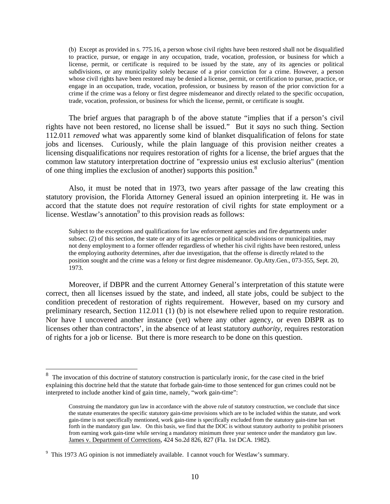(b) Except as provided in s. 775.16, a person whose civil rights have been restored shall not be disqualified to practice, pursue, or engage in any occupation, trade, vocation, profession, or business for which a license, permit, or certificate is required to be issued by the state, any of its agencies or political subdivisions, or any municipality solely because of a prior conviction for a crime. However, a person whose civil rights have been restored may be denied a license, permit, or certification to pursue, practice, or engage in an occupation, trade, vocation, profession, or business by reason of the prior conviction for a crime if the crime was a felony or first degree misdemeanor and directly related to the specific occupation, trade, vocation, profession, or business for which the license, permit, or certificate is sought.

The brief argues that paragraph b of the above statute "implies that if a person's civil rights have not been restored, no license shall be issued." But it *says* no such thing. Section 112.011 *removed* what was apparently some kind of blanket disqualification of felons for state jobs and licenses. Curiously, while the plain language of this provision neither creates a licensing disqualifications nor requires restoration of rights for a license, the brief argues that the common law statutory interpretation doctrine of "expressio unius est exclusio alterius" (mention of one thing implies the exclusion of another) supports this position.8

Also, it must be noted that in 1973, two years after passage of the law creating this statutory provision, the Florida Attorney General issued an opinion interpreting it. He was in accord that the statute does not *require* restoration of civil rights for state employment or a license. Westlaw's annotation<sup>9</sup> to this provision reads as follows:

Subject to the exceptions and qualifications for law enforcement agencies and fire departments under subsec. (2) of this section, the state or any of its agencies or political subdivisions or municipalities, may not deny employment to a former offender regardless of whether his civil rights have been restored, unless the employing authority determines, after due investigation, that the offense is directly related to the position sought and the crime was a felony or first degree misdemeanor. Op.Atty.Gen., 073-355, Sept. 20, 1973.

Moreover, if DBPR and the current Attorney General's interpretation of this statute were correct, then all licenses issued by the state, and indeed, all state jobs, could be subject to the condition precedent of restoration of rights requirement. However, based on my cursory and preliminary research, Section 112.011 (1) (b) is not elsewhere relied upon to require restoration. Nor have I uncovered another instance (yet) where any other agency, or even DBPR as to licenses other than contractors', in the absence of at least statutory *authority*, requires restoration of rights for a job or license. But there is more research to be done on this question.

<u>.</u>

<sup>8</sup> The invocation of this doctrine of statutory construction is particularly ironic, for the case cited in the brief explaining this doctrine held that the statute that forbade gain-time to those sentenced for gun crimes could not be interpreted to include another kind of gain time, namely, "work gain-time":

Construing the mandatory gun law in accordance with the above rule of statutory construction, we conclude that since the statute enumerates the specific statutory gain-time provisions which are to be included within the statute, and work gain-time is not specifically mentioned, work gain-time is specifically excluded from the statutory gain-time ban set forth in the mandatory gun law. On this basis, we find that the DOC is without statutory authority to prohibit prisoners from earning work gain-time while serving a mandatory minimum three year sentence under the mandatory gun law. James v. Department of Corrections, 424 So.2d 826, 827 (Fla. 1st DCA. 1982).

<sup>&</sup>lt;sup>9</sup> This 1973 AG opinion is not immediately available. I cannot vouch for Westlaw's summary.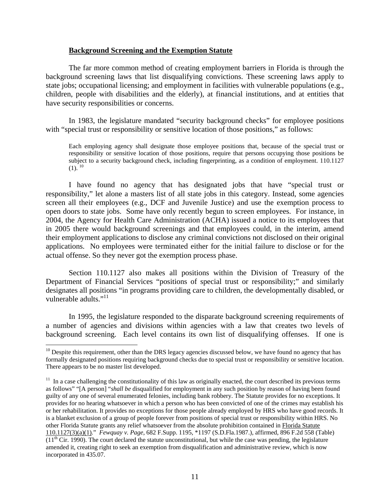# **Background Screening and the Exemption Statute**

The far more common method of creating employment barriers in Florida is through the background screening laws that list disqualifying convictions. These screening laws apply to state jobs; occupational licensing; and employment in facilities with vulnerable populations (e.g., children, people with disabilities and the elderly), at financial institutions, and at entities that have security responsibilities or concerns.

In 1983, the legislature mandated "security background checks" for employee positions with "special trust or responsibility or sensitive location of those positions," as follows:

Each employing agency shall designate those employee positions that, because of the special trust or responsibility or sensitive location of those positions, require that persons occupying those positions be subject to a security background check, including fingerprinting, as a condition of employment. 110.1127  $(1)^{10}$ 

I have found no agency that has designated jobs that have "special trust or responsibility," let alone a masters list of all state jobs in this category. Instead, some agencies screen all their employees (e.g., DCF and Juvenile Justice) and use the exemption process to open doors to state jobs. Some have only recently begun to screen employees. For instance, in 2004, the Agency for Health Care Administration (ACHA) issued a notice to its employees that in 2005 there would background screenings and that employees could, in the interim, amend their employment applications to disclose any criminal convictions not disclosed on their original applications. No employees were terminated either for the initial failure to disclose or for the actual offense. So they never got the exemption process phase.

Section 110.1127 also makes all positions within the Division of Treasury of the Department of Financial Services "positions of special trust or responsibility;" and similarly designates all positions "in programs providing care to children, the developmentally disabled, or vulnerable adults." $11$ 

In 1995, the legislature responded to the disparate background screening requirements of a number of agencies and divisions within agencies with a law that creates two levels of background screening. Each level contains its own list of disqualifying offenses. If one is

1

 $10$  Despite this requirement, other than the DRS legacy agencies discussed below, we have found no agency that has formally designated positions requiring background checks due to special trust or responsibility or sensitive location. There appears to be no master list developed.

 $<sup>11</sup>$  In a case challenging the constitutionality of this law as originally enacted, the court described its previous terms</sup> as follows" "[A person] "*shall be* disqualified for employment in any such position by reason of having been found guilty of any one of several enumerated felonies, including bank robbery. The Statute provides for no exceptions. It provides for no hearing whatsoever in which a person who has been convicted of one of the crimes may establish his or her rehabilitation. It provides no exceptions for those people already employed by HRS who have good records. It is a blanket exclusion of a group of people forever from positions of special trust or responsibility within HRS. No other Florida Statute grants any relief whatsoever from the absolute prohibition contained in Florida Statute 110.1127(3)(a)(1)." *Fewquay v. Page*, 682 F.Supp. 1195, \*1197 (S.D.Fla.1987.), affirmed, 896 F.2d 558 (Table)  $(11<sup>th</sup> Cir. 1990)$ . The court declared the statute unconstitutional, but while the case was pending, the legislature amended it, creating right to seek an exemption from disqualification and administrative review, which is now incorporated in 435.07.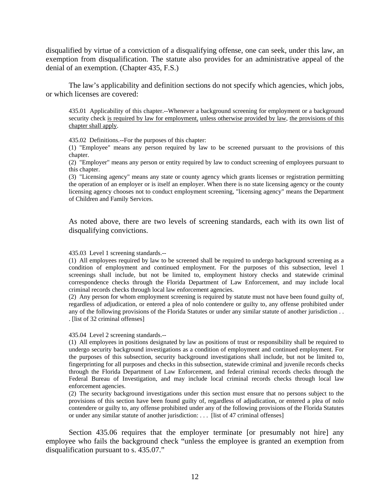disqualified by virtue of a conviction of a disqualifying offense, one can seek, under this law, an exemption from disqualification. The statute also provides for an administrative appeal of the denial of an exemption. (Chapter 435, F.S.)

The law's applicability and definition sections do not specify which agencies, which jobs, or which licenses are covered:

435.01 Applicability of this chapter.--Whenever a background screening for employment or a background security check is required by law for employment, unless otherwise provided by law, the provisions of this chapter shall apply.

435.02 Definitions.--For the purposes of this chapter:

(1) "Employee" means any person required by law to be screened pursuant to the provisions of this chapter.

(2) "Employer" means any person or entity required by law to conduct screening of employees pursuant to this chapter.

(3) "Licensing agency" means any state or county agency which grants licenses or registration permitting the operation of an employer or is itself an employer. When there is no state licensing agency or the county licensing agency chooses not to conduct employment screening, "licensing agency" means the Department of Children and Family Services.

As noted above, there are two levels of screening standards, each with its own list of disqualifying convictions.

#### 435.03 Level 1 screening standards.--

(1) All employees required by law to be screened shall be required to undergo background screening as a condition of employment and continued employment. For the purposes of this subsection, level 1 screenings shall include, but not be limited to, employment history checks and statewide criminal correspondence checks through the Florida Department of Law Enforcement, and may include local criminal records checks through local law enforcement agencies.

(2) Any person for whom employment screening is required by statute must not have been found guilty of, regardless of adjudication, or entered a plea of nolo contendere or guilty to, any offense prohibited under any of the following provisions of the Florida Statutes or under any similar statute of another jurisdiction . . . [list of 32 criminal offenses]

#### 435.04 Level 2 screening standards.--

(1) All employees in positions designated by law as positions of trust or responsibility shall be required to undergo security background investigations as a condition of employment and continued employment. For the purposes of this subsection, security background investigations shall include, but not be limited to, fingerprinting for all purposes and checks in this subsection, statewide criminal and juvenile records checks through the Florida Department of Law Enforcement, and federal criminal records checks through the Federal Bureau of Investigation, and may include local criminal records checks through local law enforcement agencies.

(2) The security background investigations under this section must ensure that no persons subject to the provisions of this section have been found guilty of, regardless of adjudication, or entered a plea of nolo contendere or guilty to, any offense prohibited under any of the following provisions of the Florida Statutes or under any similar statute of another jurisdiction: . . . [list of 47 criminal offenses]

Section 435.06 requires that the employer terminate [or presumably not hire] any employee who fails the background check "unless the employee is granted an exemption from disqualification pursuant to s. 435.07."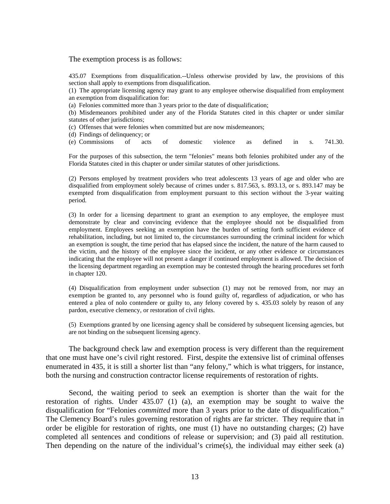The exemption process is as follows:

435.07 Exemptions from disqualification.--Unless otherwise provided by law, the provisions of this section shall apply to exemptions from disqualification.

(1) The appropriate licensing agency may grant to any employee otherwise disqualified from employment an exemption from disqualification for:

(a) Felonies committed more than 3 years prior to the date of disqualification;

(b) Misdemeanors prohibited under any of the Florida Statutes cited in this chapter or under similar statutes of other jurisdictions;

(c) Offenses that were felonies when committed but are now misdemeanors;

(d) Findings of delinquency; or

(e) Commissions of acts of domestic violence as defined in s. 741.30.

For the purposes of this subsection, the term "felonies" means both felonies prohibited under any of the Florida Statutes cited in this chapter or under similar statutes of other jurisdictions.

(2) Persons employed by treatment providers who treat adolescents 13 years of age and older who are disqualified from employment solely because of crimes under s. 817.563, s. 893.13, or s. 893.147 may be exempted from disqualification from employment pursuant to this section without the 3-year waiting period.

(3) In order for a licensing department to grant an exemption to any employee, the employee must demonstrate by clear and convincing evidence that the employee should not be disqualified from employment. Employees seeking an exemption have the burden of setting forth sufficient evidence of rehabilitation, including, but not limited to, the circumstances surrounding the criminal incident for which an exemption is sought, the time period that has elapsed since the incident, the nature of the harm caused to the victim, and the history of the employee since the incident, or any other evidence or circumstances indicating that the employee will not present a danger if continued employment is allowed. The decision of the licensing department regarding an exemption may be contested through the hearing procedures set forth in chapter 120.

(4) Disqualification from employment under subsection (1) may not be removed from, nor may an exemption be granted to, any personnel who is found guilty of, regardless of adjudication, or who has entered a plea of nolo contendere or guilty to, any felony covered by s. 435.03 solely by reason of any pardon, executive clemency, or restoration of civil rights.

(5) Exemptions granted by one licensing agency shall be considered by subsequent licensing agencies, but are not binding on the subsequent licensing agency.

The background check law and exemption process is very different than the requirement that one must have one's civil right restored. First, despite the extensive list of criminal offenses enumerated in 435, it is still a shorter list than "any felony," which is what triggers, for instance, both the nursing and construction contractor license requirements of restoration of rights.

Second, the waiting period to seek an exemption is shorter than the wait for the restoration of rights. Under 435.07 (1) (a), an exemption may be sought to waive the disqualification for "Felonies *committed* more than 3 years prior to the date of disqualification." The Clemency Board's rules governing restoration of rights are far stricter. They require that in order be eligible for restoration of rights, one must (1) have no outstanding charges; (2) have completed all sentences and conditions of release or supervision; and (3) paid all restitution. Then depending on the nature of the individual's crime(s), the individual may either seek (a)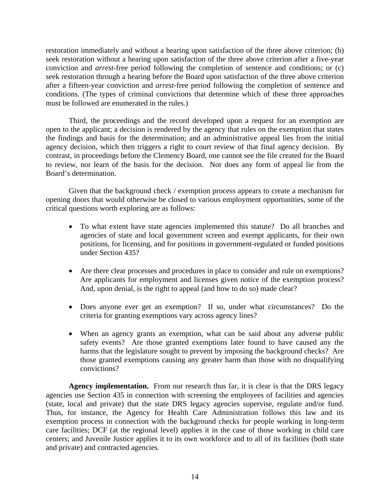restoration immediately and without a hearing upon satisfaction of the three above criterion; (b) seek restoration without a hearing upon satisfaction of the three above criterion after a five-year conviction and *arrest-*free period following the completion of sentence and conditions; or (c) seek restoration through a hearing before the Board upon satisfaction of the three above criterion after a fifteen-year conviction and *arrest-*free period following the completion of sentence and conditions. (The types of criminal convictions that determine which of these three approaches must be followed are enumerated in the rules.)

Third, the proceedings and the record developed upon a request for an exemption are open to the applicant; a decision is rendered by the agency that rules on the exemption that states the findings and basis for the determination; and an administrative appeal lies from the initial agency decision, which then triggers a right to court review of that final agency decision. By contrast, in proceedings before the Clemency Board, one cannot see the file created for the Board to review, nor learn of the basis for the decision. Nor does any form of appeal lie from the Board's determination.

Given that the background check / exemption process appears to create a mechanism for opening doors that would otherwise be closed to various employment opportunities, some of the critical questions worth exploring are as follows:

- To what extent have state agencies implemented this statute? Do all branches and agencies of state and local government screen and exempt applicants, for their own positions, for licensing, and for positions in government-regulated or funded positions under Section 435?
- Are there clear processes and procedures in place to consider and rule on exemptions? Are applicants for employment and licenses given notice of the exemption process? And, upon denial, is the right to appeal (and how to do so) made clear?
- Does anyone ever get an exemption? If so, under what circumstances? Do the criteria for granting exemptions vary across agency lines?
- When an agency grants an exemption, what can be said about any adverse public safety events? Are those granted exemptions later found to have caused any the harms that the legislature sought to prevent by imposing the background checks? Are those granted exemptions causing any greater harm than those with no disqualifying convictions?

**Agency implementation.** From our research thus far, it is clear is that the DRS legacy agencies use Section 435 in connection with screening the employees of facilities and agencies (state, local and private) that the state DRS legacy agencies supervise, regulate and/or fund. Thus, for instance, the Agency for Health Care Administration follows this law and its exemption process in connection with the background checks for people working in long-term care facilities; DCF (at the regional level) applies it in the case of those working in child care centers; and Juvenile Justice applies it to its own workforce and to all of its facilities (both state and private) and contracted agencies.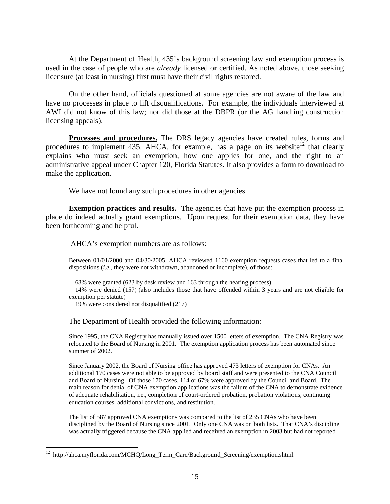At the Department of Health, 435's background screening law and exemption process is used in the case of people who are *already* licensed or certified. As noted above, those seeking licensure (at least in nursing) first must have their civil rights restored.

On the other hand, officials questioned at some agencies are not aware of the law and have no processes in place to lift disqualifications. For example, the individuals interviewed at AWI did not know of this law; nor did those at the DBPR (or the AG handling construction licensing appeals).

**Processes and procedures.** The DRS legacy agencies have created rules, forms and procedures to implement 435. AHCA, for example, has a page on its website<sup>12</sup> that clearly explains who must seek an exemption, how one applies for one, and the right to an administrative appeal under Chapter 120, Florida Statutes. It also provides a form to download to make the application.

We have not found any such procedures in other agencies.

**Exemption practices and results.** The agencies that have put the exemption process in place do indeed actually grant exemptions. Upon request for their exemption data, they have been forthcoming and helpful.

AHCA's exemption numbers are as follows:

Between 01/01/2000 and 04/30/2005, AHCA reviewed 1160 exemption requests cases that led to a final dispositions (*i.e.*, they were not withdrawn, abandoned or incomplete), of those:

68% were granted (623 by desk review and 163 through the hearing process)

14% were denied (157) (also includes those that have offended within 3 years and are not eligible for exemption per statute)

19% were considered not disqualified (217)

 $\overline{a}$ 

The Department of Health provided the following information:

Since 1995, the CNA Registry has manually issued over 1500 letters of exemption. The CNA Registry was relocated to the Board of Nursing in 2001. The exemption application process has been automated since summer of 2002.

Since January 2002, the Board of Nursing office has approved 473 letters of exemption for CNAs. An additional 170 cases were not able to be approved by board staff and were presented to the CNA Council and Board of Nursing. Of those 170 cases, 114 or 67% were approved by the Council and Board. The main reason for denial of CNA exemption applications was the failure of the CNA to demonstrate evidence of adequate rehabilitation, i.e., completion of court-ordered probation, probation violations, continuing education courses, additional convictions, and restitution.

The list of 587 approved CNA exemptions was compared to the list of 235 CNAs who have been disciplined by the Board of Nursing since 2001. Only one CNA was on both lists. That CNA's discipline was actually triggered because the CNA applied and received an exemption in 2003 but had not reported

<sup>12</sup> http://ahca.myflorida.com/MCHQ/Long\_Term\_Care/Background\_Screening/exemption.shtml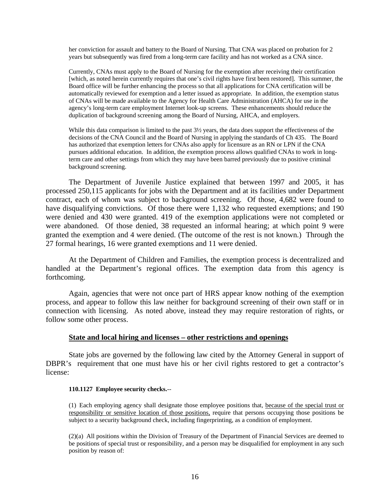her conviction for assault and battery to the Board of Nursing. That CNA was placed on probation for 2 years but subsequently was fired from a long-term care facility and has not worked as a CNA since.

Currently, CNAs must apply to the Board of Nursing for the exemption after receiving their certification [which, as noted herein currently requires that one's civil rights have first been restored]. This summer, the Board office will be further enhancing the process so that all applications for CNA certification will be automatically reviewed for exemption and a letter issued as appropriate. In addition, the exemption status of CNAs will be made available to the Agency for Health Care Administration (AHCA) for use in the agency's long-term care employment Internet look-up screens. These enhancements should reduce the duplication of background screening among the Board of Nursing, AHCA, and employers.

While this data comparison is limited to the past  $3\frac{1}{2}$  years, the data does support the effectiveness of the decisions of the CNA Council and the Board of Nursing in applying the standards of Ch 435. The Board has authorized that exemption letters for CNAs also apply for licensure as an RN or LPN if the CNA pursues additional education. In addition, the exemption process allows qualified CNAs to work in longterm care and other settings from which they may have been barred previously due to positive criminal background screening.

The Department of Juvenile Justice explained that between 1997 and 2005, it has processed 250,115 applicants for jobs with the Department and at its facilities under Department contract, each of whom was subject to background screening. Of those, 4,682 were found to have disqualifying convictions. Of those there were 1,132 who requested exemptions; and 190 were denied and 430 were granted. 419 of the exemption applications were not completed or were abandoned. Of those denied, 38 requested an informal hearing; at which point 9 were granted the exemption and 4 were denied. (The outcome of the rest is not known.) Through the 27 formal hearings, 16 were granted exemptions and 11 were denied.

At the Department of Children and Families, the exemption process is decentralized and handled at the Department's regional offices. The exemption data from this agency is forthcoming.

Again, agencies that were not once part of HRS appear know nothing of the exemption process, and appear to follow this law neither for background screening of their own staff or in connection with licensing. As noted above, instead they may require restoration of rights, or follow some other process.

## **State and local hiring and licenses – other restrictions and openings**

State jobs are governed by the following law cited by the Attorney General in support of DBPR's requirement that one must have his or her civil rights restored to get a contractor's license:

## **110.1127 Employee security checks.**--

(1) Each employing agency shall designate those employee positions that, because of the special trust or responsibility or sensitive location of those positions, require that persons occupying those positions be subject to a security background check, including fingerprinting, as a condition of employment.

(2)(a) All positions within the Division of Treasury of the Department of Financial Services are deemed to be positions of special trust or responsibility, and a person may be disqualified for employment in any such position by reason of: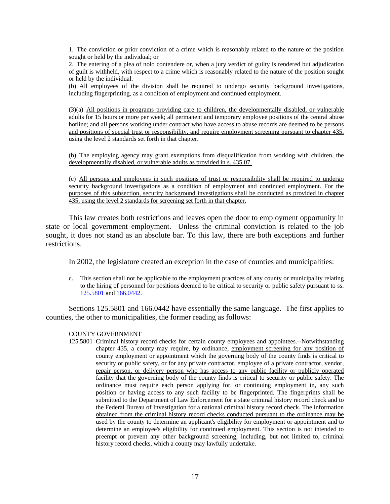1. The conviction or prior conviction of a crime which is reasonably related to the nature of the position sought or held by the individual; or

2. The entering of a plea of nolo contendere or, when a jury verdict of guilty is rendered but adjudication of guilt is withheld, with respect to a crime which is reasonably related to the nature of the position sought or held by the individual.

(b) All employees of the division shall be required to undergo security background investigations, including fingerprinting, as a condition of employment and continued employment.

(3)(a) All positions in programs providing care to children, the developmentally disabled, or vulnerable adults for 15 hours or more per week; all permanent and temporary employee positions of the central abuse hotline; and all persons working under contract who have access to abuse records are deemed to be persons and positions of special trust or responsibility, and require employment screening pursuant to chapter 435, using the level 2 standards set forth in that chapter.

(b) The employing agency may grant exemptions from disqualification from working with children, the developmentally disabled, or vulnerable adults as provided in s. 435.07.

(c) All persons and employees in such positions of trust or responsibility shall be required to undergo security background investigations as a condition of employment and continued employment. For the purposes of this subsection, security background investigations shall be conducted as provided in chapter 435, using the level 2 standards for screening set forth in that chapter.

This law creates both restrictions and leaves open the door to employment opportunity in state or local government employment. Unless the criminal conviction is related to the job sought, it does not stand as an absolute bar. To this law, there are both exceptions and further restrictions.

In 2002, the legislature created an exception in the case of counties and municipalities:

c. This section shall not be applicable to the employment practices of any county or municipality relating to the hiring of personnel for positions deemed to be critical to security or public safety pursuant to ss. 125.5801 and 166.0442.

Sections 125.5801 and 166.0442 have essentially the same language. The first applies to counties, the other to municipalities, the former reading as follows:

# COUNTY GOVERNMENT

125.5801 Criminal history record checks for certain county employees and appointees.--Notwithstanding chapter 435, a county may require, by ordinance, employment screening for any position of county employment or appointment which the governing body of the county finds is critical to security or public safety, or for any private contractor, employee of a private contractor, vendor, repair person, or delivery person who has access to any public facility or publicly operated facility that the governing body of the county finds is critical to security or public safety. The ordinance must require each person applying for, or continuing employment in, any such position or having access to any such facility to be fingerprinted. The fingerprints shall be submitted to the Department of Law Enforcement for a state criminal history record check and to the Federal Bureau of Investigation for a national criminal history record check. The information obtained from the criminal history record checks conducted pursuant to the ordinance may be used by the county to determine an applicant's eligibility for employment or appointment and to determine an employee's eligibility for continued employment. This section is not intended to preempt or prevent any other background screening, including, but not limited to, criminal history record checks, which a county may lawfully undertake.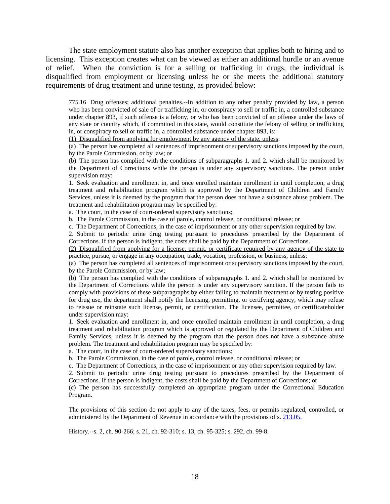The state employment statute also has another exception that applies both to hiring and to licensing. This exception creates what can be viewed as either an additional hurdle or an avenue of relief. When the conviction is for a selling or trafficking in drugs, the individual is disqualified from employment or licensing unless he or she meets the additional statutory requirements of drug treatment and urine testing, as provided below:

775.16 Drug offenses; additional penalties.--In addition to any other penalty provided by law, a person who has been convicted of sale of or trafficking in, or conspiracy to sell or traffic in, a controlled substance under chapter 893, if such offense is a felony, or who has been convicted of an offense under the laws of any state or country which, if committed in this state, would constitute the felony of selling or trafficking in, or conspiracy to sell or traffic in, a controlled substance under chapter 893, is:

(1) Disqualified from applying for employment by any agency of the state, unless:

(a) The person has completed all sentences of imprisonment or supervisory sanctions imposed by the court, by the Parole Commission, or by law; or

(b) The person has complied with the conditions of subparagraphs 1. and 2. which shall be monitored by the Department of Corrections while the person is under any supervisory sanctions. The person under supervision may:

1. Seek evaluation and enrollment in, and once enrolled maintain enrollment in until completion, a drug treatment and rehabilitation program which is approved by the Department of Children and Family Services, unless it is deemed by the program that the person does not have a substance abuse problem. The treatment and rehabilitation program may be specified by:

a. The court, in the case of court-ordered supervisory sanctions;

b. The Parole Commission, in the case of parole, control release, or conditional release; or

c. The Department of Corrections, in the case of imprisonment or any other supervision required by law.

2. Submit to periodic urine drug testing pursuant to procedures prescribed by the Department of Corrections. If the person is indigent, the costs shall be paid by the Department of Corrections.

(2) Disqualified from applying for a license, permit, or certificate required by any agency of the state to practice, pursue, or engage in any occupation, trade, vocation, profession, or business, unless:

(a) The person has completed all sentences of imprisonment or supervisory sanctions imposed by the court, by the Parole Commission, or by law;

(b) The person has complied with the conditions of subparagraphs 1. and 2. which shall be monitored by the Department of Corrections while the person is under any supervisory sanction. If the person fails to comply with provisions of these subparagraphs by either failing to maintain treatment or by testing positive for drug use, the department shall notify the licensing, permitting, or certifying agency, which may refuse to reissue or reinstate such license, permit, or certification. The licensee, permittee, or certificateholder under supervision may:

1. Seek evaluation and enrollment in, and once enrolled maintain enrollment in until completion, a drug treatment and rehabilitation program which is approved or regulated by the Department of Children and Family Services, unless it is deemed by the program that the person does not have a substance abuse problem. The treatment and rehabilitation program may be specified by:

a. The court, in the case of court-ordered supervisory sanctions;

b. The Parole Commission, in the case of parole, control release, or conditional release; or

c. The Department of Corrections, in the case of imprisonment or any other supervision required by law.

2. Submit to periodic urine drug testing pursuant to procedures prescribed by the Department of Corrections. If the person is indigent, the costs shall be paid by the Department of Corrections; or

(c) The person has successfully completed an appropriate program under the Correctional Education Program.

The provisions of this section do not apply to any of the taxes, fees, or permits regulated, controlled, or administered by the Department of Revenue in accordance with the provisions of s. 213.05.

History.--s. 2, ch. 90-266; s. 21, ch. 92-310; s. 13, ch. 95-325; s. 292, ch. 99-8.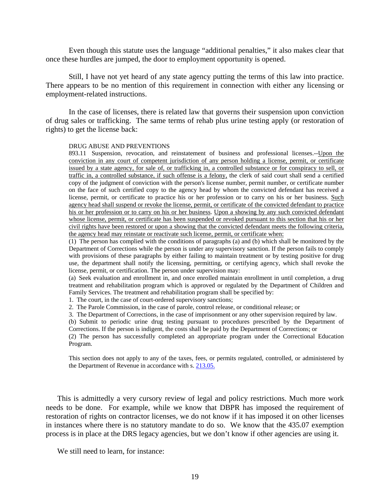Even though this statute uses the language "additional penalties," it also makes clear that once these hurdles are jumped, the door to employment opportunity is opened.

Still, I have not yet heard of any state agency putting the terms of this law into practice. There appears to be no mention of this requirement in connection with either any licensing or employment-related instructions.

In the case of licenses, there is related law that governs their suspension upon conviction of drug sales or trafficking. The same terms of rehab plus urine testing apply (or restoration of rights) to get the license back:

#### DRUG ABUSE AND PREVENTIONS

893.11 Suspension, revocation, and reinstatement of business and professional licenses.--Upon the conviction in any court of competent jurisdiction of any person holding a license, permit, or certificate issued by a state agency, for sale of, or trafficking in, a controlled substance or for conspiracy to sell, or traffic in, a controlled substance, if such offense is a felony, the clerk of said court shall send a certified copy of the judgment of conviction with the person's license number, permit number, or certificate number on the face of such certified copy to the agency head by whom the convicted defendant has received a license, permit, or certificate to practice his or her profession or to carry on his or her business. Such agency head shall suspend or revoke the license, permit, or certificate of the convicted defendant to practice his or her profession or to carry on his or her business. Upon a showing by any such convicted defendant whose license, permit, or certificate has been suspended or revoked pursuant to this section that his or her civil rights have been restored or upon a showing that the convicted defendant meets the following criteria, the agency head may reinstate or reactivate such license, permit, or certificate when:

(1) The person has complied with the conditions of paragraphs (a) and (b) which shall be monitored by the Department of Corrections while the person is under any supervisory sanction. If the person fails to comply with provisions of these paragraphs by either failing to maintain treatment or by testing positive for drug use, the department shall notify the licensing, permitting, or certifying agency, which shall revoke the license, permit, or certification. The person under supervision may:

(a) Seek evaluation and enrollment in, and once enrolled maintain enrollment in until completion, a drug treatment and rehabilitation program which is approved or regulated by the Department of Children and Family Services. The treatment and rehabilitation program shall be specified by:

1. The court, in the case of court-ordered supervisory sanctions;

2. The Parole Commission, in the case of parole, control release, or conditional release; or

3. The Department of Corrections, in the case of imprisonment or any other supervision required by law.

(b) Submit to periodic urine drug testing pursuant to procedures prescribed by the Department of Corrections. If the person is indigent, the costs shall be paid by the Department of Corrections; or

(2) The person has successfully completed an appropriate program under the Correctional Education Program.

This section does not apply to any of the taxes, fees, or permits regulated, controlled, or administered by the Department of Revenue in accordance with s. 213.05.

This is admittedly a very cursory review of legal and policy restrictions. Much more work needs to be done. For example, while we know that DBPR has imposed the requirement of restoration of rights on contractor licenses, we do not know if it has imposed it on other licenses in instances where there is no statutory mandate to do so. We know that the 435.07 exemption process is in place at the DRS legacy agencies, but we don't know if other agencies are using it.

We still need to learn, for instance: